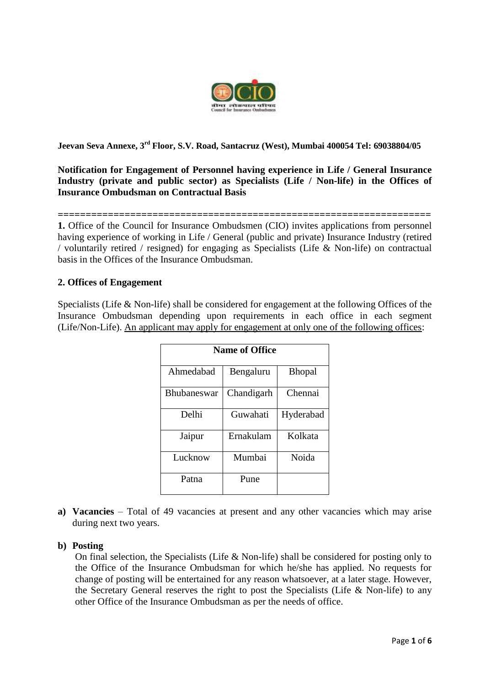

**Jeevan Seva Annexe, 3 rd Floor, S.V. Road, Santacruz (West), Mumbai 400054 Tel: 69038804/05** 

**Notification for Engagement of Personnel having experience in Life / General Insurance Industry (private and public sector) as Specialists (Life / Non-life) in the Offices of Insurance Ombudsman on Contractual Basis**

**=================================================================== 1.** Office of the Council for Insurance Ombudsmen (CIO) invites applications from personnel having experience of working in Life / General (public and private) Insurance Industry (retired / voluntarily retired / resigned) for engaging as Specialists (Life & Non-life) on contractual basis in the Offices of the Insurance Ombudsman.

## **2. Offices of Engagement**

Specialists (Life & Non-life) shall be considered for engagement at the following Offices of the Insurance Ombudsman depending upon requirements in each office in each segment (Life/Non-Life). An applicant may apply for engagement at only one of the following offices:

| <b>Name of Office</b> |            |               |  |  |
|-----------------------|------------|---------------|--|--|
| Ahmedabad             | Bengaluru  | <b>Bhopal</b> |  |  |
| <b>Bhubaneswar</b>    | Chandigarh | Chennai       |  |  |
| Delhi                 | Guwahati   | Hyderabad     |  |  |
| Jaipur                | Ernakulam  | Kolkata       |  |  |
| Lucknow               | Mumbai     | Noida         |  |  |
| Patna                 | Pune       |               |  |  |

**a) Vacancies** – Total of 49 vacancies at present and any other vacancies which may arise during next two years.

## **b) Posting**

On final selection, the Specialists (Life & Non-life) shall be considered for posting only to the Office of the Insurance Ombudsman for which he/she has applied. No requests for change of posting will be entertained for any reason whatsoever, at a later stage. However, the Secretary General reserves the right to post the Specialists (Life  $& Non-life)$  to any other Office of the Insurance Ombudsman as per the needs of office.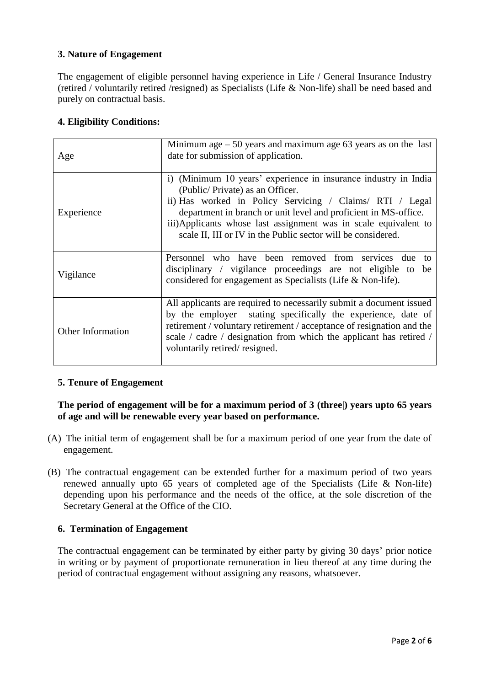# **3. Nature of Engagement**

The engagement of eligible personnel having experience in Life / General Insurance Industry (retired / voluntarily retired /resigned) as Specialists (Life & Non-life) shall be need based and purely on contractual basis.

## **4. Eligibility Conditions:**

| Age                      | Minimum age $-50$ years and maximum age 63 years as on the last<br>date for submission of application.                                                                                                                                                                                                                                                               |  |
|--------------------------|----------------------------------------------------------------------------------------------------------------------------------------------------------------------------------------------------------------------------------------------------------------------------------------------------------------------------------------------------------------------|--|
| Experience               | i) (Minimum 10 years' experience in insurance industry in India<br>(Public/Private) as an Officer.<br>ii) Has worked in Policy Servicing / Claims/ RTI / Legal<br>department in branch or unit level and proficient in MS-office.<br>iii)Applicants whose last assignment was in scale equivalent to<br>scale II, III or IV in the Public sector will be considered. |  |
| Vigilance                | Personnel who have been removed from services<br>due<br>to<br>disciplinary / vigilance proceedings are not eligible to be<br>considered for engagement as Specialists (Life & Non-life).                                                                                                                                                                             |  |
| <b>Other Information</b> | All applicants are required to necessarily submit a document issued<br>by the employer stating specifically the experience, date of<br>retirement / voluntary retirement / acceptance of resignation and the<br>scale / cadre / designation from which the applicant has retired /<br>voluntarily retired/resigned.                                                  |  |

# **5. Tenure of Engagement**

# **The period of engagement will be for a maximum period of 3 (three|) years upto 65 years of age and will be renewable every year based on performance.**

- (A) The initial term of engagement shall be for a maximum period of one year from the date of engagement.
- (B) The contractual engagement can be extended further for a maximum period of two years renewed annually upto 65 years of completed age of the Specialists (Life & Non-life) depending upon his performance and the needs of the office, at the sole discretion of the Secretary General at the Office of the CIO.

## **6. Termination of Engagement**

The contractual engagement can be terminated by either party by giving 30 days' prior notice in writing or by payment of proportionate remuneration in lieu thereof at any time during the period of contractual engagement without assigning any reasons, whatsoever.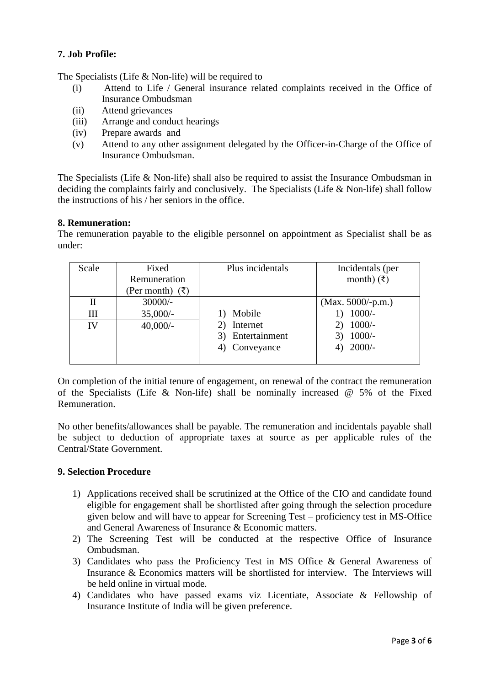## **7. Job Profile:**

The Specialists (Life & Non-life) will be required to

- (i) Attend to Life / General insurance related complaints received in the Office of Insurance Ombudsman
- (ii) Attend grievances
- (iii) Arrange and conduct hearings
- (iv) Prepare awards and
- (v) Attend to any other assignment delegated by the Officer-in-Charge of the Office of Insurance Ombudsman.

The Specialists (Life & Non-life) shall also be required to assist the Insurance Ombudsman in deciding the complaints fairly and conclusively. The Specialists (Life & Non-life) shall follow the instructions of his / her seniors in the office.

#### **8. Remuneration:**

The remuneration payable to the eligible personnel on appointment as Specialist shall be as under:

| Scale | Fixed             | Plus incidentals | Incidentals (per       |
|-------|-------------------|------------------|------------------------|
|       | Remuneration      |                  | month) $(\bar{\zeta})$ |
|       | (Per month) $(3)$ |                  |                        |
| П     | $30000/-$         |                  | $(Max. 5000/-p.m.)$    |
| Ш     | $35,000/-$        | Mobile           | $1000/-$               |
| IV    | $40,000/-$        | Internet         | $1000/-$               |
|       |                   | Entertainment    | $1000/-$               |
|       |                   | Conveyance       | $2000/-$               |
|       |                   |                  |                        |

On completion of the initial tenure of engagement, on renewal of the contract the remuneration of the Specialists (Life & Non-life) shall be nominally increased  $@$  5% of the Fixed Remuneration.

No other benefits/allowances shall be payable. The remuneration and incidentals payable shall be subject to deduction of appropriate taxes at source as per applicable rules of the Central/State Government.

## **9. Selection Procedure**

- 1) Applications received shall be scrutinized at the Office of the CIO and candidate found eligible for engagement shall be shortlisted after going through the selection procedure given below and will have to appear for Screening Test – proficiency test in MS-Office and General Awareness of Insurance & Economic matters.
- 2) The Screening Test will be conducted at the respective Office of Insurance Ombudsman.
- 3) Candidates who pass the Proficiency Test in MS Office & General Awareness of Insurance & Economics matters will be shortlisted for interview. The Interviews will be held online in virtual mode.
- 4) Candidates who have passed exams viz Licentiate, Associate & Fellowship of Insurance Institute of India will be given preference.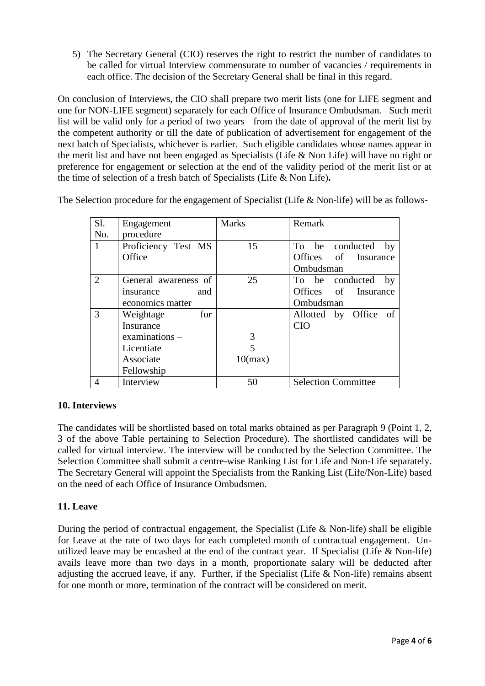5) The Secretary General (CIO) reserves the right to restrict the number of candidates to be called for virtual Interview commensurate to number of vacancies / requirements in each office. The decision of the Secretary General shall be final in this regard.

On conclusion of Interviews, the CIO shall prepare two merit lists (one for LIFE segment and one for NON-LIFE segment) separately for each Office of Insurance Ombudsman. Such merit list will be valid only for a period of two years from the date of approval of the merit list by the competent authority or till the date of publication of advertisement for engagement of the next batch of Specialists, whichever is earlier.Such eligible candidates whose names appear in the merit list and have not been engaged as Specialists (Life & Non Life) will have no right or preference for engagement or selection at the end of the validity period of the merit list or at the time of selection of a fresh batch of Specialists (Life & Non Life)**.**

The Selection procedure for the engagement of Specialist (Life & Non-life) will be as follows-

| Sl.            | Engagement           | <b>Marks</b> | Remark                     |
|----------------|----------------------|--------------|----------------------------|
| No.            | procedure            |              |                            |
| 1              | Proficiency Test MS  | 15           | To be conducted<br>by      |
|                | Office               |              | Offices of Insurance       |
|                |                      |              | Ombudsman                  |
| $\overline{2}$ | General awareness of | 25           | To be conducted<br>by      |
|                | and<br>insurance     |              | Offices of Insurance       |
|                | economics matter     |              | Ombudsman                  |
| 3              | for<br>Weightage     |              | Allotted by Office of      |
|                | Insurance            |              | <b>CIO</b>                 |
|                | $examinations -$     | 3            |                            |
|                | Licentiate           |              |                            |
|                | Associate            | 10(max)      |                            |
|                | Fellowship           |              |                            |
| 4              | Interview            | 50           | <b>Selection Committee</b> |

# **10. Interviews**

The candidates will be shortlisted based on total marks obtained as per Paragraph 9 (Point 1, 2, 3 of the above Table pertaining to Selection Procedure). The shortlisted candidates will be called for virtual interview. The interview will be conducted by the Selection Committee. The Selection Committee shall submit a centre-wise Ranking List for Life and Non-Life separately. The Secretary General will appoint the Specialists from the Ranking List (Life/Non-Life) based on the need of each Office of Insurance Ombudsmen.

## **11. Leave**

During the period of contractual engagement, the Specialist (Life & Non-life) shall be eligible for Leave at the rate of two days for each completed month of contractual engagement. Unutilized leave may be encashed at the end of the contract year. If Specialist (Life & Non-life) avails leave more than two days in a month, proportionate salary will be deducted after adjusting the accrued leave, if any. Further, if the Specialist (Life & Non-life) remains absent for one month or more, termination of the contract will be considered on merit.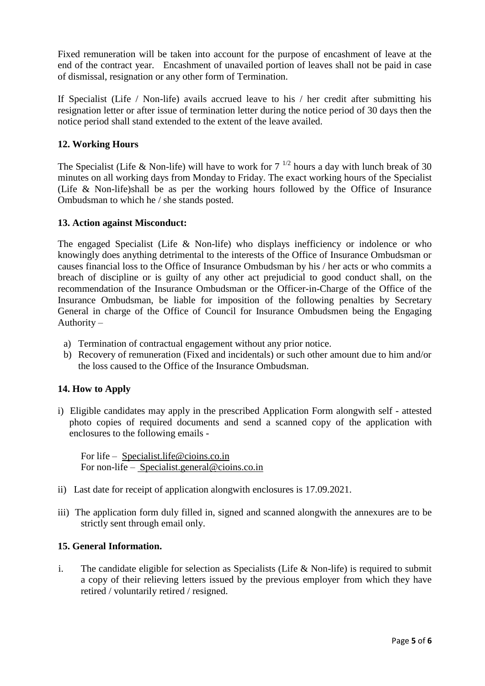Fixed remuneration will be taken into account for the purpose of encashment of leave at the end of the contract year. Encashment of unavailed portion of leaves shall not be paid in case of dismissal, resignation or any other form of Termination.

If Specialist (Life / Non-life) avails accrued leave to his / her credit after submitting his resignation letter or after issue of termination letter during the notice period of 30 days then the notice period shall stand extended to the extent of the leave availed.

## **12. Working Hours**

The Specialist (Life & Non-life) will have to work for  $7^{1/2}$  hours a day with lunch break of 30 minutes on all working days from Monday to Friday. The exact working hours of the Specialist (Life & Non-life)shall be as per the working hours followed by the Office of Insurance Ombudsman to which he / she stands posted.

#### **13. Action against Misconduct:**

The engaged Specialist (Life & Non-life) who displays inefficiency or indolence or who knowingly does anything detrimental to the interests of the Office of Insurance Ombudsman or causes financial loss to the Office of Insurance Ombudsman by his / her acts or who commits a breach of discipline or is guilty of any other act prejudicial to good conduct shall, on the recommendation of the Insurance Ombudsman or the Officer-in-Charge of the Office of the Insurance Ombudsman, be liable for imposition of the following penalties by Secretary General in charge of the Office of Council for Insurance Ombudsmen being the Engaging Authority –

- a) Termination of contractual engagement without any prior notice.
- b) Recovery of remuneration (Fixed and incidentals) or such other amount due to him and/or the loss caused to the Office of the Insurance Ombudsman.

## **14. How to Apply**

i) Eligible candidates may apply in the prescribed Application Form alongwith self - attested photo copies of required documents and send a scanned copy of the application with enclosures to the following emails -

For life – Specialist.life@cioins.co.in For non-life – Specialist.general@cioins.co.in

- ii) Last date for receipt of application alongwith enclosures is 17.09.2021.
- iii) The application form duly filled in, signed and scanned alongwith the annexures are to be strictly sent through email only.

## **15. General Information.**

i. The candidate eligible for selection as Specialists (Life  $& Non-life$ ) is required to submit a copy of their relieving letters issued by the previous employer from which they have retired / voluntarily retired / resigned.